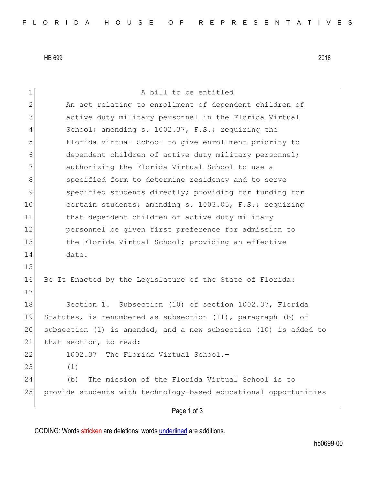HB 699 2018

Page 1 of 3 1 a bill to be entitled 2 An act relating to enrollment of dependent children of 3 active duty military personnel in the Florida Virtual 4 School; amending s. 1002.37, F.S.; requiring the 5 Florida Virtual School to give enrollment priority to 6 6 dependent children of active duty military personnel; 7 authorizing the Florida Virtual School to use a 8 specified form to determine residency and to serve 9 specified students directly; providing for funding for 10 certain students; amending s. 1003.05, F.S.; requiring 11 bhat dependent children of active duty military 12 personnel be given first preference for admission to 13 13 the Florida Virtual School; providing an effective 14 date. 15 16 Be It Enacted by the Legislature of the State of Florida: 17 18 Section 1. Subsection (10) of section 1002.37, Florida 19 Statutes, is renumbered as subsection (11), paragraph (b) of 20 subsection (1) is amended, and a new subsection (10) is added to 21 that section, to read: 22 1002.37 The Florida Virtual School.-23 (1) 24 (b) The mission of the Florida Virtual School is to 25 provide students with technology-based educational opportunities

CODING: Words stricken are deletions; words underlined are additions.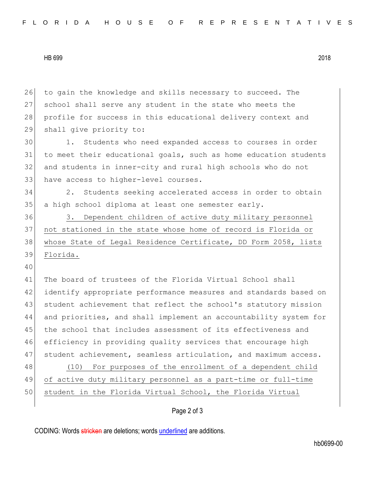HB 699 2018

26 to gain the knowledge and skills necessary to succeed. The 27 school shall serve any student in the state who meets the 28 profile for success in this educational delivery context and 29 shall give priority to: 30 1. Students who need expanded access to courses in order 31 to meet their educational goals, such as home education students 32 and students in inner-city and rural high schools who do not 33 have access to higher-level courses. 34 2. Students seeking accelerated access in order to obtain 35 a high school diploma at least one semester early. 36 3. Dependent children of active duty military personnel 37 not stationed in the state whose home of record is Florida or 38 whose State of Legal Residence Certificate, DD Form 2058, lists 39 Florida. 40 41 The board of trustees of the Florida Virtual School shall 42 identify appropriate performance measures and standards based on 43 student achievement that reflect the school's statutory mission 44 and priorities, and shall implement an accountability system for 45 the school that includes assessment of its effectiveness and 46 efficiency in providing quality services that encourage high 47 student achievement, seamless articulation, and maximum access. 48 (10) For purposes of the enrollment of a dependent child 49 of active duty military personnel as a part-time or full-time 50 student in the Florida Virtual School, the Florida Virtual

## Page 2 of 3

CODING: Words stricken are deletions; words underlined are additions.